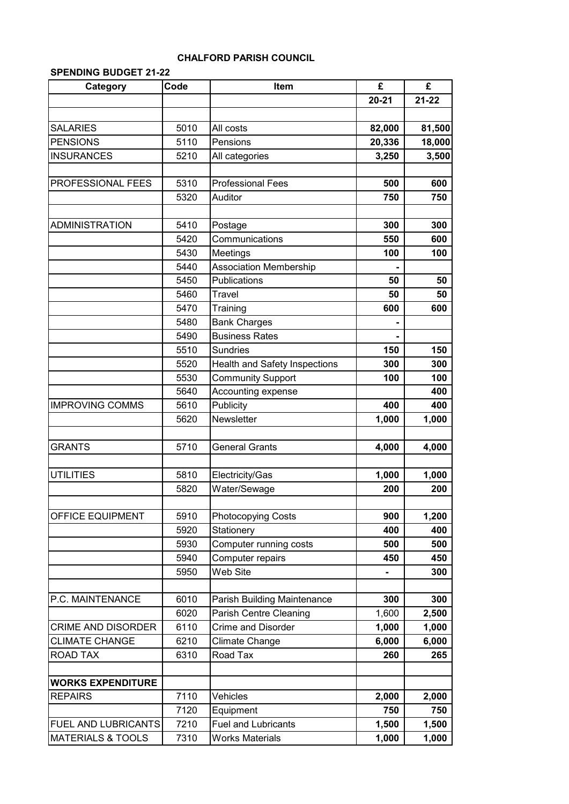## **CHALFORD PARISH COUNCIL**

## **SPENDING BUDGET 21-22**

| Category                     | Code | Item                                 | £         | £         |
|------------------------------|------|--------------------------------------|-----------|-----------|
|                              |      |                                      | $20 - 21$ | $21 - 22$ |
|                              |      |                                      |           |           |
| <b>SALARIES</b>              | 5010 | All costs                            | 82,000    | 81,500    |
| <b>PENSIONS</b>              | 5110 | Pensions                             | 20,336    | 18,000    |
| <b>INSURANCES</b>            | 5210 | All categories                       | 3,250     | 3,500     |
|                              |      |                                      |           |           |
| PROFESSIONAL FEES            | 5310 | <b>Professional Fees</b>             | 500       | 600       |
|                              | 5320 | Auditor                              | 750       | 750       |
|                              |      |                                      |           |           |
| <b>ADMINISTRATION</b>        | 5410 | Postage                              | 300       | 300       |
|                              | 5420 | Communications                       | 550       | 600       |
|                              | 5430 | Meetings                             | 100       | 100       |
|                              | 5440 | <b>Association Membership</b>        |           |           |
|                              | 5450 | Publications                         | 50        | 50        |
|                              | 5460 | <b>Travel</b>                        | 50        | 50        |
|                              | 5470 | Training                             | 600       | 600       |
|                              | 5480 | <b>Bank Charges</b>                  |           |           |
|                              | 5490 | <b>Business Rates</b>                |           |           |
|                              | 5510 | <b>Sundries</b>                      | 150       | 150       |
|                              | 5520 | <b>Health and Safety Inspections</b> | 300       | 300       |
|                              | 5530 | Community Support                    | 100       | 100       |
|                              | 5640 | Accounting expense                   |           | 400       |
| <b>IMPROVING COMMS</b>       | 5610 | Publicity                            | 400       | 400       |
|                              | 5620 | Newsletter                           | 1,000     | 1,000     |
|                              |      |                                      |           |           |
| <b>GRANTS</b>                | 5710 | <b>General Grants</b>                | 4,000     | 4,000     |
|                              |      |                                      |           |           |
| <b>UTILITIES</b>             | 5810 | Electricity/Gas                      | 1,000     | 1,000     |
|                              | 5820 | Water/Sewage                         | 200       | 200       |
|                              |      |                                      |           |           |
| OFFICE EQUIPMENT             | 5910 | <b>Photocopying Costs</b>            | 900       | 1,200     |
|                              | 5920 | Stationery                           | 400       | 400       |
|                              | 5930 | Computer running costs               | 500       | 500       |
|                              | 5940 | Computer repairs                     | 450       | 450       |
|                              | 5950 | Web Site                             |           | 300       |
|                              |      |                                      |           |           |
| P.C. MAINTENANCE             | 6010 | Parish Building Maintenance          | 300       | 300       |
|                              | 6020 | Parish Centre Cleaning               | 1,600     | 2,500     |
| CRIME AND DISORDER           | 6110 | <b>Crime and Disorder</b>            | 1,000     | 1,000     |
| <b>CLIMATE CHANGE</b>        | 6210 | Climate Change                       | 6,000     | 6,000     |
| ROAD TAX                     | 6310 | Road Tax                             | 260       | 265       |
|                              |      |                                      |           |           |
| <b>WORKS EXPENDITURE</b>     |      |                                      |           |           |
| <b>REPAIRS</b>               | 7110 | Vehicles                             | 2,000     | 2,000     |
|                              | 7120 | Equipment                            | 750       | 750       |
| FUEL AND LUBRICANTS          | 7210 | <b>Fuel and Lubricants</b>           | 1,500     | 1,500     |
| <b>MATERIALS &amp; TOOLS</b> | 7310 | Works Materials                      | 1,000     | 1,000     |